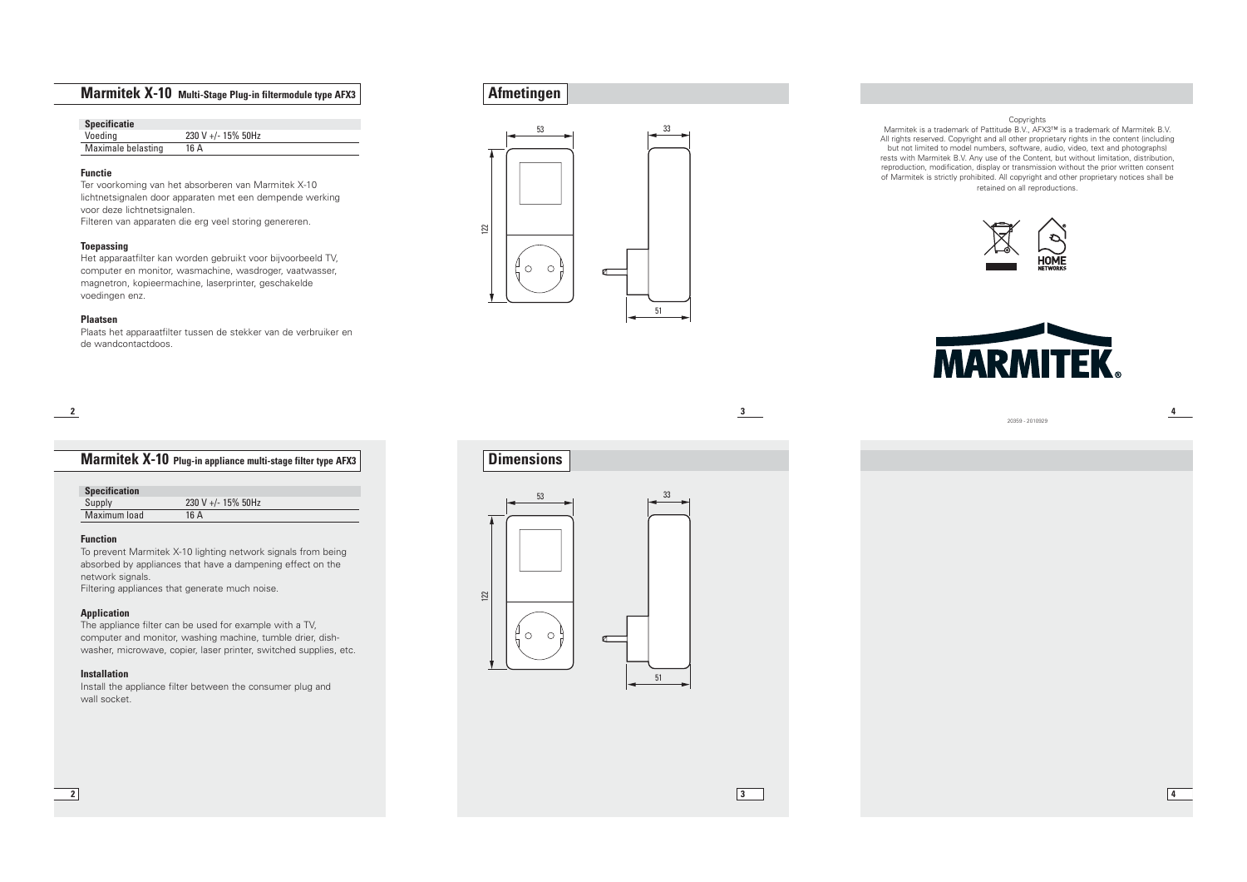# **Marmitek X-10 Multi-Stage Plug-in filtermodule type AFX3**

| <b>Specificatie</b> |                    |
|---------------------|--------------------|
| Voeding             | 230 V +/- 15% 50Hz |
| Maximale belasting  | 16 A               |

#### **Functie**

Ter voorkoming van het absorberen van Marmitek X-10 lichtnetsignalen door apparaten met een dempende werking voor deze lichtnetsignalen.

Filteren van apparaten die erg veel storing genereren.

#### **Toepassing**

Het apparaatfilter kan worden gebruikt voor bijvoorbeeld TV, computer en monitor, wasmachine, wasdroger, vaatwasser, magnetron, kopieermachine, laserprinter, geschakelde voedingen enz.

#### **Plaatsen**

Plaats het apparaatfilter tussen de stekker van de verbruiker en de wandcontactdoos.

**2**

# **Marmitek X-10 Plug-in appliance multi-stage filter type AFX3**

| <b>Specification</b> |                    |  |
|----------------------|--------------------|--|
| Supply               | 230 V +/- 15% 50Hz |  |
| Maximum load         | 16 A               |  |

#### **Function**

To prevent Marmitek X-10 lighting network signals from being absorbed by appliances that have a dampening effect on the network signals.

Filtering appliances that generate much noise.

#### **Application**

The appliance filter can be used for example with a TV, computer and monitor, washing machine, tumble drier, dishwasher, microwave, copier, laser printer, switched supplies, etc.

#### **Installation**

Install the appliance filter between the consumer plug and wall socket.





Copyrights<br>Marmitek is a trademark of Pattitude B.V., AFX3™ is a trademark of Marmitek B.V. All rights reserved. Copyright and all other proprietary rights in the content (including but not limited to model numbers, software, audio, video, text and photographs) rests with Marmitek B.V. Any use of the Content, but without limitation, distribution, reproduction, modification, display or transmission without the prior written consent of Marmitek is strictly prohibited. All copyright and other proprietary notices shall be retained on all reproductions.





**3**

**3**